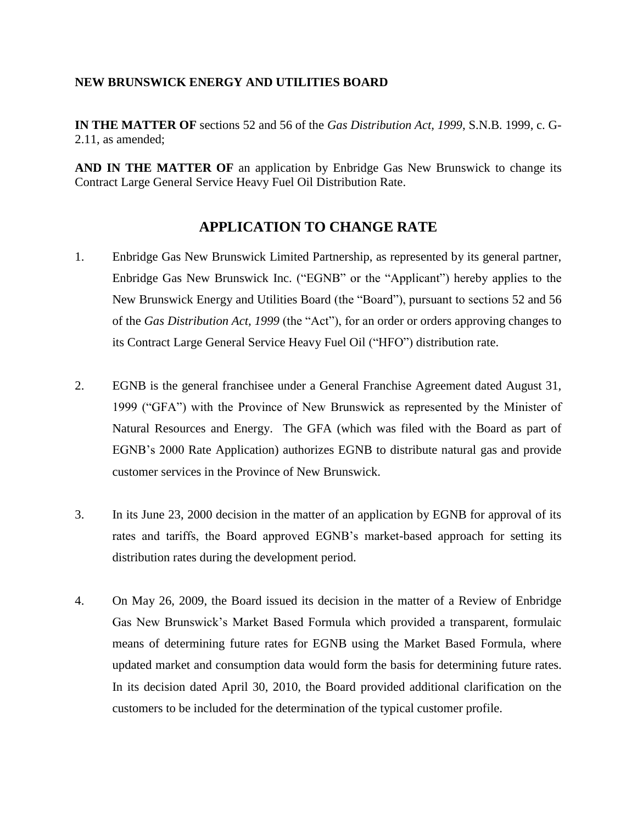## **NEW BRUNSWICK ENERGY AND UTILITIES BOARD**

**IN THE MATTER OF** sections 52 and 56 of the *Gas Distribution Act, 1999*, S.N.B. 1999, c. G-2.11, as amended;

**AND IN THE MATTER OF** an application by Enbridge Gas New Brunswick to change its Contract Large General Service Heavy Fuel Oil Distribution Rate.

## **APPLICATION TO CHANGE RATE**

- 1. Enbridge Gas New Brunswick Limited Partnership, as represented by its general partner, Enbridge Gas New Brunswick Inc. ("EGNB" or the "Applicant") hereby applies to the New Brunswick Energy and Utilities Board (the "Board"), pursuant to sections 52 and 56 of the *Gas Distribution Act, 1999* (the "Act"), for an order or orders approving changes to its Contract Large General Service Heavy Fuel Oil ("HFO") distribution rate.
- 2. EGNB is the general franchisee under a General Franchise Agreement dated August 31, 1999 ("GFA") with the Province of New Brunswick as represented by the Minister of Natural Resources and Energy. The GFA (which was filed with the Board as part of EGNB's 2000 Rate Application) authorizes EGNB to distribute natural gas and provide customer services in the Province of New Brunswick.
- 3. In its June 23, 2000 decision in the matter of an application by EGNB for approval of its rates and tariffs, the Board approved EGNB's market-based approach for setting its distribution rates during the development period.
- 4. On May 26, 2009, the Board issued its decision in the matter of a Review of Enbridge Gas New Brunswick's Market Based Formula which provided a transparent, formulaic means of determining future rates for EGNB using the Market Based Formula, where updated market and consumption data would form the basis for determining future rates. In its decision dated April 30, 2010, the Board provided additional clarification on the customers to be included for the determination of the typical customer profile.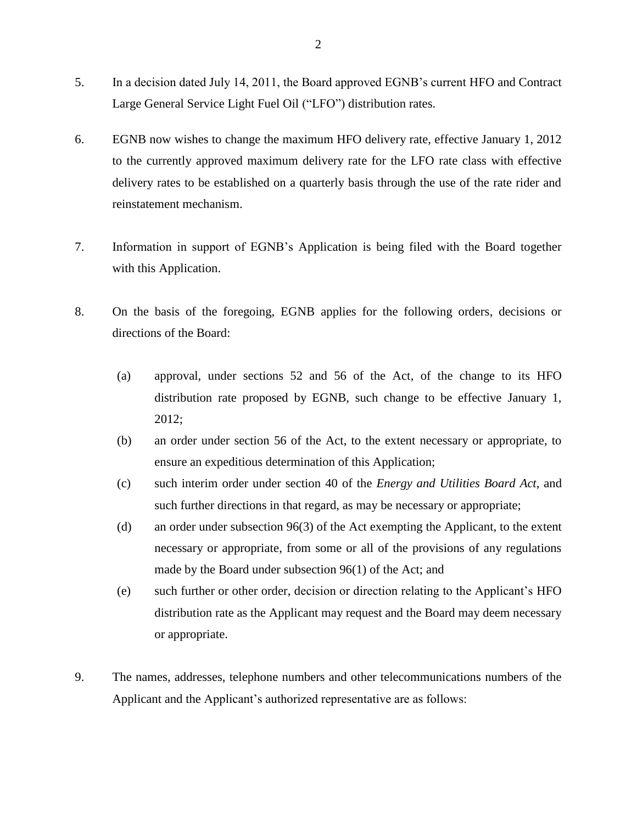- 5. In a decision dated July 14, 2011, the Board approved EGNB's current HFO and Contract Large General Service Light Fuel Oil ("LFO") distribution rates.
- 6. EGNB now wishes to change the maximum HFO delivery rate, effective January 1, 2012 to the currently approved maximum delivery rate for the LFO rate class with effective delivery rates to be established on a quarterly basis through the use of the rate rider and reinstatement mechanism.
- 7. Information in support of EGNB's Application is being filed with the Board together with this Application.
- 8. On the basis of the foregoing, EGNB applies for the following orders, decisions or directions of the Board:
	- (a) approval, under sections 52 and 56 of the Act, of the change to its HFO distribution rate proposed by EGNB, such change to be effective January 1, 2012;
	- (b) an order under section 56 of the Act, to the extent necessary or appropriate, to ensure an expeditious determination of this Application;
	- (c) such interim order under section 40 of the *Energy and Utilities Board Act*, and such further directions in that regard, as may be necessary or appropriate;
	- (d) an order under subsection 96(3) of the Act exempting the Applicant, to the extent necessary or appropriate, from some or all of the provisions of any regulations made by the Board under subsection 96(1) of the Act; and
	- (e) such further or other order, decision or direction relating to the Applicant's HFO distribution rate as the Applicant may request and the Board may deem necessary or appropriate.
- 9. The names, addresses, telephone numbers and other telecommunications numbers of the Applicant and the Applicant's authorized representative are as follows: